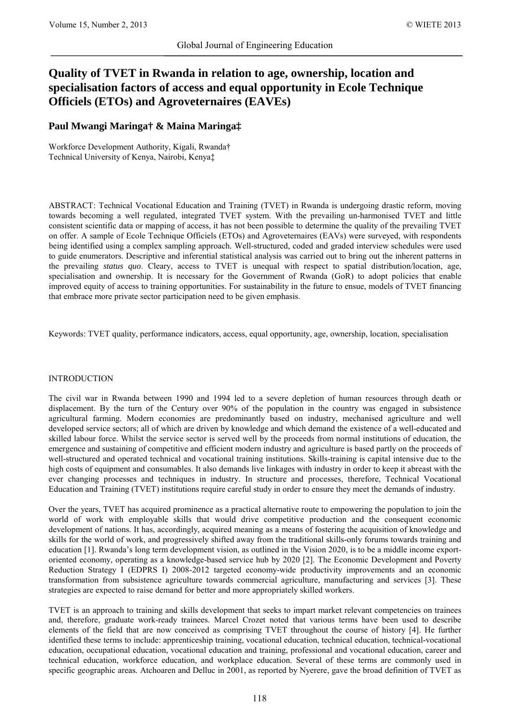# **Quality of TVET in Rwanda in relation to age, ownership, location and specialisation factors of access and equal opportunity in Ecole Technique Officiels (ETOs) and Agroveternaires (EAVEs)**

# **Paul Mwangi Maringa† & Maina Maringa‡**

Workforce Development Authority, Kigali, Rwanda† Technical University of Kenya, Nairobi, Kenya‡

ABSTRACT: Technical Vocational Education and Training (TVET) in Rwanda is undergoing drastic reform, moving towards becoming a well regulated, integrated TVET system. With the prevailing un-harmonised TVET and little consistent scientific data or mapping of access, it has not been possible to determine the quality of the prevailing TVET on offer. A sample of Ecole Technique Officiels (ETOs) and Agroveternaires (EAVs) were surveyed, with respondents being identified using a complex sampling approach. Well-structured, coded and graded interview schedules were used to guide enumerators. Descriptive and inferential statistical analysis was carried out to bring out the inherent patterns in the prevailing *status quo*. Cleary, access to TVET is unequal with respect to spatial distribution/location, age, specialisation and ownership. It is necessary for the Government of Rwanda (GoR) to adopt policies that enable improved equity of access to training opportunities. For sustainability in the future to ensue, models of TVET financing that embrace more private sector participation need to be given emphasis.

Keywords: TVET quality, performance indicators, access, equal opportunity, age, ownership, location, specialisation

#### INTRODUCTION

The civil war in Rwanda between 1990 and 1994 led to a severe depletion of human resources through death or displacement. By the turn of the Century over 90% of the population in the country was engaged in subsistence agricultural farming. Modern economies are predominantly based on industry, mechanised agriculture and well developed service sectors; all of which are driven by knowledge and which demand the existence of a well-educated and skilled labour force. Whilst the service sector is served well by the proceeds from normal institutions of education, the emergence and sustaining of competitive and efficient modern industry and agriculture is based partly on the proceeds of well-structured and operated technical and vocational training institutions. Skills-training is capital intensive due to the high costs of equipment and consumables. It also demands live linkages with industry in order to keep it abreast with the ever changing processes and techniques in industry. In structure and processes, therefore, Technical Vocational Education and Training (TVET) institutions require careful study in order to ensure they meet the demands of industry.

Over the years, TVET has acquired prominence as a practical alternative route to empowering the population to join the world of work with employable skills that would drive competitive production and the consequent economic development of nations. It has, accordingly, acquired meaning as a means of fostering the acquisition of knowledge and skills for the world of work, and progressively shifted away from the traditional skills-only forums towards training and education [1]. Rwanda's long term development vision, as outlined in the Vision 2020, is to be a middle income exportoriented economy, operating as a knowledge-based service hub by 2020 [2]. The Economic Development and Poverty Reduction Strategy I (EDPRS I) 2008-2012 targeted economy-wide productivity improvements and an economic transformation from subsistence agriculture towards commercial agriculture, manufacturing and services [3]. These strategies are expected to raise demand for better and more appropriately skilled workers.

TVET is an approach to training and skills development that seeks to impart market relevant competencies on trainees and, therefore, graduate work-ready trainees. Marcel Crozet noted that various terms have been used to describe elements of the field that are now conceived as comprising TVET throughout the course of history [4]. He further identified these terms to include: apprenticeship training, vocational education, technical education, technical-vocational education, occupational education, vocational education and training, professional and vocational education, career and technical education, workforce education, and workplace education. Several of these terms are commonly used in specific geographic areas*.* Atchoaren and Delluc in 2001, as reported by Nyerere, gave the broad definition of TVET as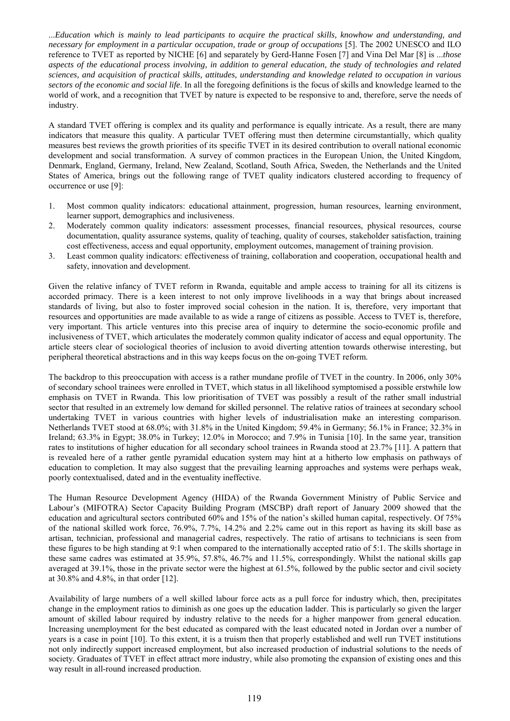...*Education which is mainly to lead participants to acquire the practical skills, knowhow and understanding, and necessary for employment in a particular occupation, trade or group of occupations* [5]. The 2002 UNESCO and ILO reference to TVET as reported by NICHE [6] and separately by Gerd-Hanne Fosen [7] and Vina Del Mar [8] is ...*those aspects of the educational process involving, in addition to general education, the study of technologies and related sciences, and acquisition of practical skills, attitudes, understanding and knowledge related to occupation in various sectors of the economic and social life*. In all the foregoing definitions is the focus of skills and knowledge learned to the world of work, and a recognition that TVET by nature is expected to be responsive to and, therefore, serve the needs of industry.

A standard TVET offering is complex and its quality and performance is equally intricate. As a result, there are many indicators that measure this quality. A particular TVET offering must then determine circumstantially, which quality measures best reviews the growth priorities of its specific TVET in its desired contribution to overall national economic development and social transformation. A survey of common practices in the European Union, the United Kingdom, Denmark, England, Germany, Ireland, New Zealand, Scotland, South Africa, Sweden, the Netherlands and the United States of America, brings out the following range of TVET quality indicators clustered according to frequency of occurrence or use [9]:

- 1. Most common quality indicators: educational attainment, progression, human resources, learning environment, learner support, demographics and inclusiveness.
- 2. Moderately common quality indicators: assessment processes, financial resources, physical resources, course documentation, quality assurance systems, quality of teaching, quality of courses, stakeholder satisfaction, training cost effectiveness, access and equal opportunity, employment outcomes, management of training provision.
- 3. Least common quality indicators: effectiveness of training, collaboration and cooperation, occupational health and safety, innovation and development.

Given the relative infancy of TVET reform in Rwanda, equitable and ample access to training for all its citizens is accorded primacy. There is a keen interest to not only improve livelihoods in a way that brings about increased standards of living, but also to foster improved social cohesion in the nation. It is, therefore, very important that resources and opportunities are made available to as wide a range of citizens as possible. Access to TVET is, therefore, very important. This article ventures into this precise area of inquiry to determine the socio-economic profile and inclusiveness of TVET, which articulates the moderately common quality indicator of access and equal opportunity. The article steers clear of sociological theories of inclusion to avoid diverting attention towards otherwise interesting, but peripheral theoretical abstractions and in this way keeps focus on the on-going TVET reform.

The backdrop to this preoccupation with access is a rather mundane profile of TVET in the country. In 2006, only 30% of secondary school trainees were enrolled in TVET, which status in all likelihood symptomised a possible erstwhile low emphasis on TVET in Rwanda. This low prioritisation of TVET was possibly a result of the rather small industrial sector that resulted in an extremely low demand for skilled personnel. The relative ratios of trainees at secondary school undertaking TVET in various countries with higher levels of industrialisation make an interesting comparison. Netherlands TVET stood at 68.0%; with 31.8% in the United Kingdom; 59.4% in Germany; 56.1% in France; 32.3% in Ireland; 63.3% in Egypt; 38.0% in Turkey; 12.0% in Morocco; and 7.9% in Tunisia [10]. In the same year, transition rates to institutions of higher education for all secondary school trainees in Rwanda stood at 23.7% [11]. A pattern that is revealed here of a rather gentle pyramidal education system may hint at a hitherto low emphasis on pathways of education to completion. It may also suggest that the prevailing learning approaches and systems were perhaps weak, poorly contextualised, dated and in the eventuality ineffective.

The Human Resource Development Agency (HIDA) of the Rwanda Government Ministry of Public Service and Labour's (MIFOTRA) Sector Capacity Building Program (MSCBP) draft report of January 2009 showed that the education and agricultural sectors contributed 60% and 15% of the nation's skilled human capital, respectively. Of 75% of the national skilled work force, 76.9%, 7.7%, 14.2% and 2.2% came out in this report as having its skill base as artisan, technician, professional and managerial cadres, respectively. The ratio of artisans to technicians is seen from these figures to be high standing at 9:1 when compared to the internationally accepted ratio of 5:1. The skills shortage in these same cadres was estimated at 35.9%, 57.8%, 46.7% and 11.5%, correspondingly. Whilst the national skills gap averaged at 39.1%, those in the private sector were the highest at 61.5%, followed by the public sector and civil society at 30.8% and 4.8%, in that order [12].

Availability of large numbers of a well skilled labour force acts as a pull force for industry which, then, precipitates change in the employment ratios to diminish as one goes up the education ladder. This is particularly so given the larger amount of skilled labour required by industry relative to the needs for a higher manpower from general education. Increasing unemployment for the best educated as compared with the least educated noted in Jordan over a number of years is a case in point [10]. To this extent, it is a truism then that properly established and well run TVET institutions not only indirectly support increased employment, but also increased production of industrial solutions to the needs of society. Graduates of TVET in effect attract more industry, while also promoting the expansion of existing ones and this way result in all-round increased production.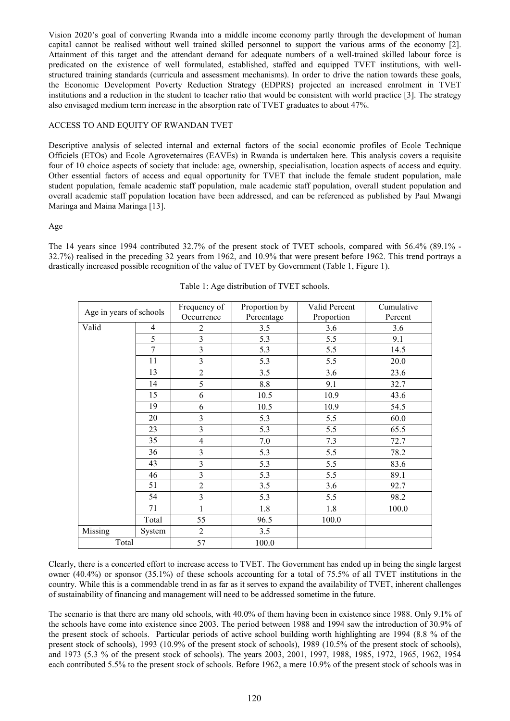Vision 2020's goal of converting Rwanda into a middle income economy partly through the development of human capital cannot be realised without well trained skilled personnel to support the various arms of the economy [2]. Attainment of this target and the attendant demand for adequate numbers of a well-trained skilled labour force is predicated on the existence of well formulated, established, staffed and equipped TVET institutions, with wellstructured training standards (curricula and assessment mechanisms). In order to drive the nation towards these goals, the Economic Development Poverty Reduction Strategy (EDPRS) projected an increased enrolment in TVET institutions and a reduction in the student to teacher ratio that would be consistent with world practice [3]. The strategy also envisaged medium term increase in the absorption rate of TVET graduates to about 47%.

#### ACCESS TO AND EQUITY OF RWANDAN TVET

Descriptive analysis of selected internal and external factors of the social economic profiles of Ecole Technique Officiels (ETOs) and Ecole Agroveternaires (EAVEs) in Rwanda is undertaken here. This analysis covers a requisite four of 10 choice aspects of society that include: age, ownership, specialisation, location aspects of access and equity. Other essential factors of access and equal opportunity for TVET that include the female student population, male student population, female academic staff population, male academic staff population, overall student population and overall academic staff population location have been addressed, and can be referenced as published by Paul Mwangi Maringa and Maina Maringa [13].

#### Age

The 14 years since 1994 contributed 32.7% of the present stock of TVET schools, compared with 56.4% (89.1% - 32.7%) realised in the preceding 32 years from 1962, and 10.9% that were present before 1962. This trend portrays a drastically increased possible recognition of the value of TVET by Government (Table 1, Figure 1).

| Age in years of schools |        | Frequency of            | Proportion by | Valid Percent | Cumulative |
|-------------------------|--------|-------------------------|---------------|---------------|------------|
|                         |        | Occurrence              | Percentage    | Proportion    | Percent    |
| Valid                   | 4      | $\overline{2}$          | 3.5           | 3.6           | 3.6        |
|                         | 5      | 3                       | 5.3           | 5.5           | 9.1        |
|                         | 7      | $\overline{\mathbf{3}}$ | 5.3           | 5.5           | 14.5       |
|                         | 11     | $\overline{\mathbf{3}}$ | 5.3           | 5.5           | 20.0       |
|                         | 13     | $\overline{2}$          | 3.5           | 3.6           | 23.6       |
|                         | 14     | 5                       | $8.8\,$       | 9.1           | 32.7       |
|                         | 15     | 6                       | 10.5          | 10.9          | 43.6       |
|                         | 19     | 6                       | 10.5          | 10.9          | 54.5       |
|                         | 20     | 3                       | 5.3           | 5.5           | 60.0       |
|                         | 23     | 3                       | 5.3           | 5.5           | 65.5       |
|                         | 35     | $\overline{4}$          | 7.0           | 7.3           | 72.7       |
|                         | 36     | 3                       | 5.3           | 5.5           | 78.2       |
|                         | 43     | $\overline{\mathbf{3}}$ | 5.3           | 5.5           | 83.6       |
|                         | 46     | 3                       | 5.3           | 5.5           | 89.1       |
|                         | 51     | $\overline{2}$          | 3.5           | 3.6           | 92.7       |
|                         | 54     | 3                       | 5.3           | 5.5           | 98.2       |
|                         | 71     | 1                       | 1.8           | 1.8           | 100.0      |
|                         | Total  | 55                      | 96.5          | 100.0         |            |
| Missing                 | System | $\overline{2}$          | 3.5           |               |            |
| Total                   |        | 57                      | 100.0         |               |            |

Table 1: Age distribution of TVET schools.

Clearly, there is a concerted effort to increase access to TVET. The Government has ended up in being the single largest owner (40.4%) or sponsor (35.1%) of these schools accounting for a total of 75.5% of all TVET institutions in the country. While this is a commendable trend in as far as it serves to expand the availability of TVET, inherent challenges of sustainability of financing and management will need to be addressed sometime in the future.

The scenario is that there are many old schools, with 40.0% of them having been in existence since 1988. Only 9.1% of the schools have come into existence since 2003. The period between 1988 and 1994 saw the introduction of 30.9% of the present stock of schools. Particular periods of active school building worth highlighting are 1994 (8.8 % of the present stock of schools), 1993 (10.9% of the present stock of schools), 1989 (10.5% of the present stock of schools), and 1973 (5.3 % of the present stock of schools). The years 2003, 2001, 1997, 1988, 1985, 1972, 1965, 1962, 1954 each contributed 5.5% to the present stock of schools. Before 1962, a mere 10.9% of the present stock of schools was in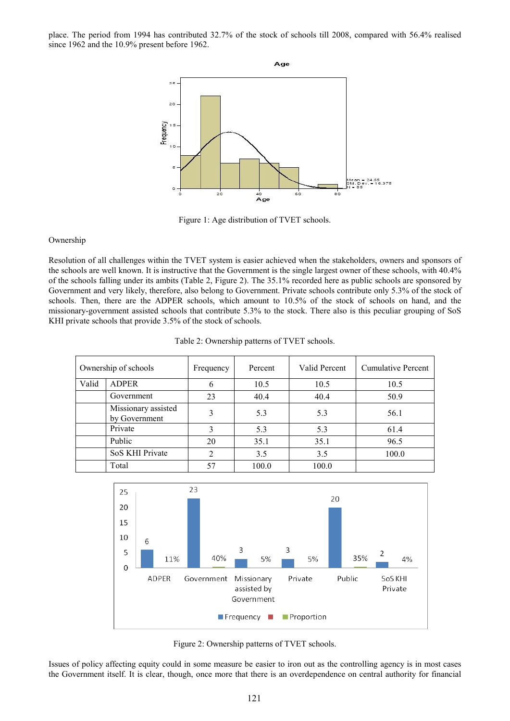place. The period from 1994 has contributed 32.7% of the stock of schools till 2008, compared with 56.4% realised since 1962 and the 10.9% present before 1962.



Figure 1: Age distribution of TVET schools.

#### Ownership

Resolution of all challenges within the TVET system is easier achieved when the stakeholders, owners and sponsors of the schools are well known. It is instructive that the Government is the single largest owner of these schools, with 40.4% of the schools falling under its ambits (Table 2, Figure 2). The 35.1% recorded here as public schools are sponsored by Government and very likely, therefore, also belong to Government. Private schools contribute only 5.3% of the stock of schools. Then, there are the ADPER schools, which amount to 10.5% of the stock of schools on hand, and the missionary-government assisted schools that contribute 5.3% to the stock. There also is this peculiar grouping of SoS KHI private schools that provide 3.5% of the stock of schools.

| Table 2: Ownership patterns of TVET schools. |  |
|----------------------------------------------|--|
|----------------------------------------------|--|

| Ownership of schools |                                      | Frequency | Percent | Valid Percent | Cumulative Percent |
|----------------------|--------------------------------------|-----------|---------|---------------|--------------------|
| Valid                | <b>ADPER</b>                         | 6         | 10.5    | 10.5          | 10.5               |
|                      | Government                           | 23        | 40.4    | 40.4          | 50.9               |
|                      | Missionary assisted<br>by Government | 3         | 5.3     | 5.3           | 56.1               |
|                      | Private                              | 3         | 5.3     | 5.3           | 61.4               |
|                      | Public                               | 20        | 35.1    | 35.1          | 96.5               |
|                      | SoS KHI Private                      | 2         | 3.5     | 3.5           | 100.0              |
|                      | Total                                | 57        | 100.0   | 100.0         |                    |



Figure 2: Ownership patterns of TVET schools.

Issues of policy affecting equity could in some measure be easier to iron out as the controlling agency is in most cases the Government itself. It is clear, though, once more that there is an overdependence on central authority for financial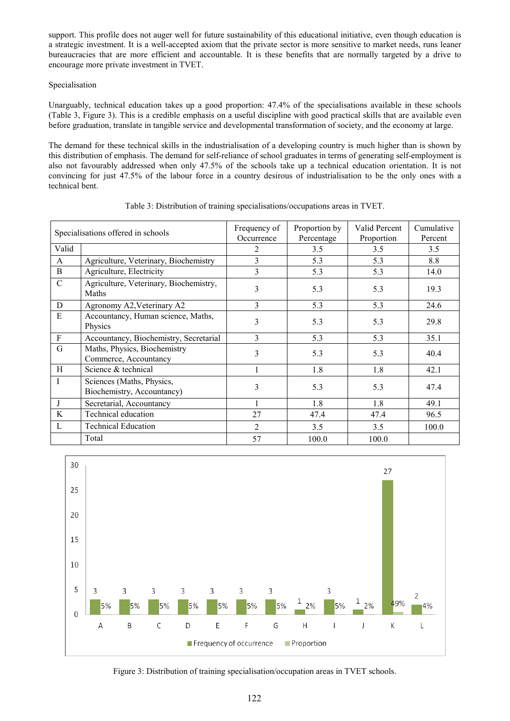support. This profile does not auger well for future sustainability of this educational initiative, even though education is a strategic investment. It is a well-accepted axiom that the private sector is more sensitive to market needs, runs leaner bureaucracies that are more efficient and accountable. It is these benefits that are normally targeted by a drive to encourage more private investment in TVET.

#### Specialisation

Unarguably, technical education takes up a good proportion: 47.4% of the specialisations available in these schools (Table 3, Figure 3). This is a credible emphasis on a useful discipline with good practical skills that are available even before graduation, translate in tangible service and developmental transformation of society, and the economy at large.

The demand for these technical skills in the industrialisation of a developing country is much higher than is shown by this distribution of emphasis. The demand for self-reliance of school graduates in terms of generating self-employment is also not favourably addressed when only 47.5% of the schools take up a technical education orientation. It is not convincing for just 47.5% of the labour force in a country desirous of industrialisation to be the only ones with a technical bent.

| Specialisations offered in schools |                                                         | Frequency of<br>Occurrence | Proportion by<br>Percentage | Valid Percent<br>Proportion | Cumulative<br>Percent |
|------------------------------------|---------------------------------------------------------|----------------------------|-----------------------------|-----------------------------|-----------------------|
| Valid                              |                                                         | 2                          | 3.5                         | 3.5                         | 3.5                   |
| $\mathsf{A}$                       | Agriculture, Veterinary, Biochemistry                   | 3                          | 5.3                         | 5.3                         | 8.8                   |
| B                                  | Agriculture, Electricity                                | 3                          | 5.3                         | 5.3                         | 14.0                  |
| $\mathcal{C}$                      | Agriculture, Veterinary, Biochemistry,<br>Maths         | 3                          | 5.3                         | 5.3                         | 19.3                  |
| D                                  | Agronomy A2, Veterinary A2                              | 3                          | 5.3                         | 5.3                         | 24.6                  |
| E                                  | Accountancy, Human science, Maths,<br>Physics           | 3                          | 5.3                         | 5.3                         | 29.8                  |
| F                                  | Accountancy, Biochemistry, Secretarial                  | 3                          | 5.3                         | 5.3                         | 35.1                  |
| G                                  | Maths, Physics, Biochemistry<br>Commerce, Accountancy   | 3                          | 5.3                         | 5.3                         | 40.4                  |
| H                                  | Science & technical                                     |                            | 1.8                         | 1.8                         | 42.1                  |
|                                    | Sciences (Maths, Physics,<br>Biochemistry, Accountancy) | 3                          | 5.3                         | 5.3                         | 47.4                  |
|                                    | Secretarial, Accountancy                                |                            | 1.8                         | 1.8                         | 49.1                  |
| K                                  | Technical education                                     | 27                         | 47.4                        | 47.4                        | 96.5                  |
| $\mathbf{L}$                       | <b>Technical Education</b>                              | 2                          | 3.5                         | 3.5                         | 100.0                 |
|                                    | Total                                                   | 57                         | 100.0                       | 100.0                       |                       |

Table 3: Distribution of training specialisations/occupations areas in TVET.



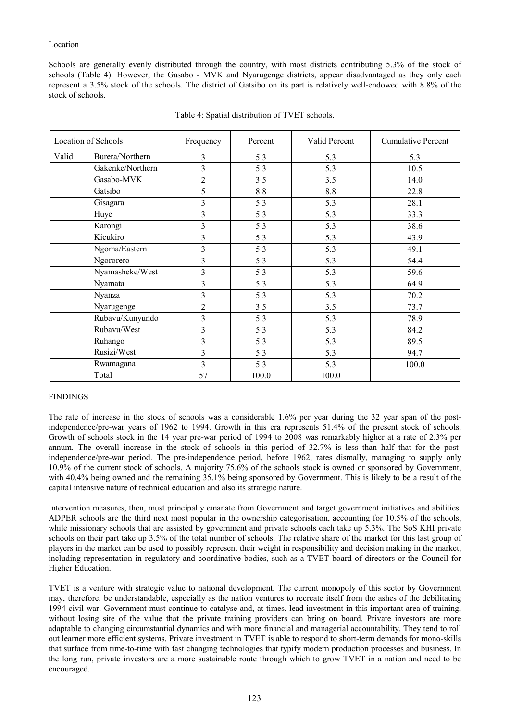#### Location

Schools are generally evenly distributed through the country, with most districts contributing 5.3% of the stock of schools (Table 4). However, the Gasabo - MVK and Nyarugenge districts, appear disadvantaged as they only each represent a 3.5% stock of the schools. The district of Gatsibo on its part is relatively well-endowed with 8.8% of the stock of schools.

| <b>Location of Schools</b> |                  | Frequency      | Percent | Valid Percent | <b>Cumulative Percent</b> |
|----------------------------|------------------|----------------|---------|---------------|---------------------------|
| Valid                      | Burera/Northern  | 3              | 5.3     | 5.3           | 5.3                       |
|                            | Gakenke/Northern | 3              | 5.3     | 5.3           | 10.5                      |
|                            | Gasabo-MVK       | $\overline{2}$ | 3.5     | 3.5           | 14.0                      |
|                            | Gatsibo          | 5              | 8.8     | 8.8           | 22.8                      |
|                            | Gisagara         | 3              | 5.3     | 5.3           | 28.1                      |
|                            | Huye             | $\overline{3}$ | 5.3     | 5.3           | 33.3                      |
|                            | Karongi          | $\overline{3}$ | 5.3     | 5.3           | 38.6                      |
|                            | Kicukiro         | 3              | 5.3     | 5.3           | 43.9                      |
|                            | Ngoma/Eastern    | 3              | 5.3     | 5.3           | 49.1                      |
|                            | Ngororero        | 3              | 5.3     | 5.3           | 54.4                      |
|                            | Nyamasheke/West  | 3              | 5.3     | 5.3           | 59.6                      |
|                            | Nyamata          | 3              | 5.3     | 5.3           | 64.9                      |
|                            | Nyanza           | 3              | 5.3     | 5.3           | 70.2                      |
|                            | Nyarugenge       | $\overline{2}$ | 3.5     | 3.5           | 73.7                      |
|                            | Rubavu/Kunyundo  | 3              | 5.3     | 5.3           | 78.9                      |
|                            | Rubavu/West      | 3              | 5.3     | 5.3           | 84.2                      |
|                            | Ruhango          | 3              | 5.3     | 5.3           | 89.5                      |
|                            | Rusizi/West      | 3              | 5.3     | 5.3           | 94.7                      |
|                            | Rwamagana        | 3              | 5.3     | 5.3           | 100.0                     |
|                            | Total            | 57             | 100.0   | 100.0         |                           |

|  | Table 4: Spatial distribution of TVET schools. |
|--|------------------------------------------------|
|--|------------------------------------------------|

#### FINDINGS

The rate of increase in the stock of schools was a considerable 1.6% per year during the 32 year span of the postindependence/pre-war years of 1962 to 1994. Growth in this era represents 51.4% of the present stock of schools. Growth of schools stock in the 14 year pre-war period of 1994 to 2008 was remarkably higher at a rate of 2.3% per annum. The overall increase in the stock of schools in this period of 32.7% is less than half that for the postindependence/pre-war period. The pre-independence period, before 1962, rates dismally, managing to supply only 10.9% of the current stock of schools. A majority 75.6% of the schools stock is owned or sponsored by Government, with 40.4% being owned and the remaining 35.1% being sponsored by Government. This is likely to be a result of the capital intensive nature of technical education and also its strategic nature.

Intervention measures, then, must principally emanate from Government and target government initiatives and abilities. ADPER schools are the third next most popular in the ownership categorisation, accounting for 10.5% of the schools, while missionary schools that are assisted by government and private schools each take up 5.3%. The SoS KHI private schools on their part take up 3.5% of the total number of schools. The relative share of the market for this last group of players in the market can be used to possibly represent their weight in responsibility and decision making in the market, including representation in regulatory and coordinative bodies, such as a TVET board of directors or the Council for Higher Education.

TVET is a venture with strategic value to national development. The current monopoly of this sector by Government may, therefore, be understandable, especially as the nation ventures to recreate itself from the ashes of the debilitating 1994 civil war. Government must continue to catalyse and, at times, lead investment in this important area of training, without losing site of the value that the private training providers can bring on board. Private investors are more adaptable to changing circumstantial dynamics and with more financial and managerial accountability. They tend to roll out learner more efficient systems. Private investment in TVET is able to respond to short-term demands for mono-skills that surface from time-to-time with fast changing technologies that typify modern production processes and business. In the long run, private investors are a more sustainable route through which to grow TVET in a nation and need to be encouraged.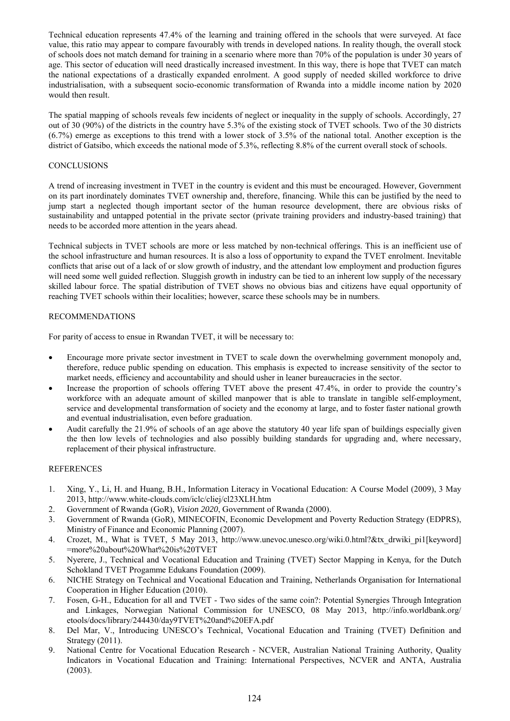Technical education represents 47.4% of the learning and training offered in the schools that were surveyed. At face value, this ratio may appear to compare favourably with trends in developed nations. In reality though, the overall stock of schools does not match demand for training in a scenario where more than 70% of the population is under 30 years of age. This sector of education will need drastically increased investment. In this way, there is hope that TVET can match the national expectations of a drastically expanded enrolment. A good supply of needed skilled workforce to drive industrialisation, with a subsequent socio-economic transformation of Rwanda into a middle income nation by 2020 would then result.

The spatial mapping of schools reveals few incidents of neglect or inequality in the supply of schools. Accordingly, 27 out of 30 (90%) of the districts in the country have 5.3% of the existing stock of TVET schools. Two of the 30 districts (6.7%) emerge as exceptions to this trend with a lower stock of 3.5% of the national total. Another exception is the district of Gatsibo, which exceeds the national mode of 5.3%, reflecting 8.8% of the current overall stock of schools.

#### CONCLUSIONS

A trend of increasing investment in TVET in the country is evident and this must be encouraged. However, Government on its part inordinately dominates TVET ownership and, therefore, financing. While this can be justified by the need to jump start a neglected though important sector of the human resource development, there are obvious risks of sustainability and untapped potential in the private sector (private training providers and industry-based training) that needs to be accorded more attention in the years ahead.

Technical subjects in TVET schools are more or less matched by non-technical offerings. This is an inefficient use of the school infrastructure and human resources. It is also a loss of opportunity to expand the TVET enrolment. Inevitable conflicts that arise out of a lack of or slow growth of industry, and the attendant low employment and production figures will need some well guided reflection. Sluggish growth in industry can be tied to an inherent low supply of the necessary skilled labour force. The spatial distribution of TVET shows no obvious bias and citizens have equal opportunity of reaching TVET schools within their localities; however, scarce these schools may be in numbers.

### RECOMMENDATIONS

For parity of access to ensue in Rwandan TVET, it will be necessary to:

- Encourage more private sector investment in TVET to scale down the overwhelming government monopoly and, therefore, reduce public spending on education. This emphasis is expected to increase sensitivity of the sector to market needs, efficiency and accountability and should usher in leaner bureaucracies in the sector.
- Increase the proportion of schools offering TVET above the present 47.4%, in order to provide the country's workforce with an adequate amount of skilled manpower that is able to translate in tangible self-employment, service and developmental transformation of society and the economy at large, and to foster faster national growth and eventual industrialisation, even before graduation.
- Audit carefully the 21.9% of schools of an age above the statutory 40 year life span of buildings especially given the then low levels of technologies and also possibly building standards for upgrading and, where necessary, replacement of their physical infrastructure.

## **REFERENCES**

- 1. Xing, Y., Li, H. and Huang, B.H., Information Literacy in Vocational Education: A Course Model (2009), 3 May 2013, http://www.white-clouds.com/iclc/cliej/cl23XLH.htm
- 2. Government of Rwanda (GoR), *Vision 2020*, Government of Rwanda (2000).
- 3. Government of Rwanda (GoR), MINECOFIN, Economic Development and Poverty Reduction Strategy (EDPRS), Ministry of Finance and Economic Planning (2007).
- 4. Crozet, M., What is TVET, 5 May 2013, http://www.unevoc.unesco.org/wiki.0.html?&tx\_drwiki\_pi1[keyword] =more%20about%20What%20is%20TVET
- 5. Nyerere, J., Technical and Vocational Education and Training (TVET) Sector Mapping in Kenya, for the Dutch Schokland TVET Progamme Edukans Foundation (2009).
- 6. NICHE Strategy on Technical and Vocational Education and Training, Netherlands Organisation for International Cooperation in Higher Education (2010).
- 7. Fosen, G-H., Education for all and TVET Two sides of the same coin?: Potential Synergies Through Integration and Linkages, Norwegian National Commission for UNESCO, 08 May 2013, http://info.worldbank.org/ etools/docs/library/244430/day9TVET%20and%20EFA.pdf
- 8. Del Mar, V., Introducing UNESCO's Technical, Vocational Education and Training (TVET) Definition and Strategy (2011).
- 9. National Centre for Vocational Education Research NCVER, Australian National Training Authority, Quality Indicators in Vocational Education and Training: International Perspectives, NCVER and ANTA, Australia (2003).